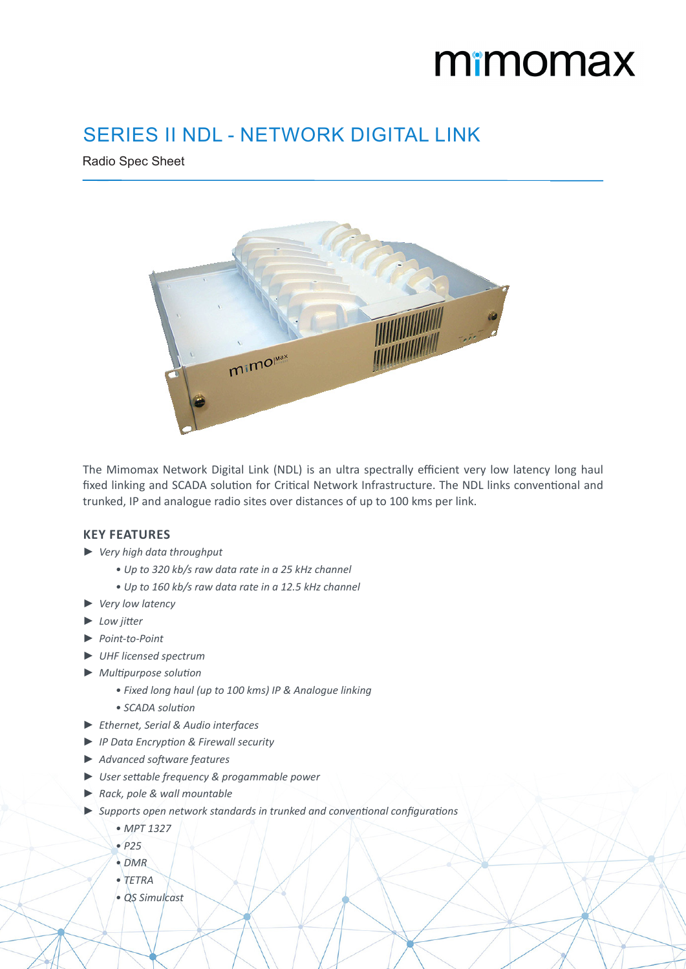# mimomax

 $\sim$ 

## SERIES II NDL - NETWORK DIGITAL LINK

Radio Spec Sheet



The Mimomax Network Digital Link (NDL) is an ultra spectrally efficient very low latency long haul fixed linking and SCADA solution for Critical Network Infrastructure. The NDL links conventional and trunked, IP and analogue radio sites over distances of up to 100 kms per link.

#### **KEY FEATURES**

- ► *Very high data throughput*
	- *• Up to 320 kb/s raw data rate in a 25 kHz channel*
	- *• Up to 160 kb/s raw data rate in a 12.5 kHz channel*
- ► *Very low latency*
- ► *Low jitter*
- ► *Point-to-Point*
- ► *UHF licensed spectrum*
- ► *Multipurpose solution*
	- *• Fixed long haul (up to 100 kms) IP & Analogue linking*
	- *• SCADA solution*
- ► *Ethernet, Serial & Audio interfaces*
- ► *IP Data Encryption & Firewall security*
- ► *Advanced software features*
- ► *User settable frequency & progammable power*
- ► *Rack, pole & wall mountable*
- ► *Supports open network standards in trunked and conventional configurations*
	- *• MPT 1327*
	- *• P25*
	- *• DMR*
	- *• TETRA*
	- *• QS Simulcast*